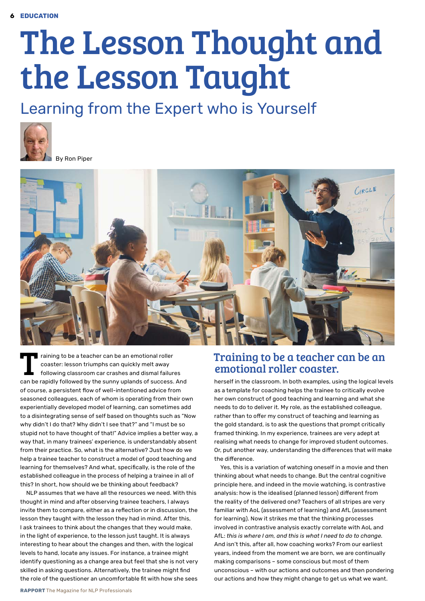## The Lesson Thought and the Lesson Taught

## Learning from the Expert who is Yourself





raining to be a teacher can be an emotional roller coaster: lesson triumphs can quickly melt away following classroom car crashes and dismal failures can be rapidly followed by the sunny uplands of success. And of course, a persistent flow of well-intentioned advice from seasoned colleagues, each of whom is operating from their own experientially developed model of learning, can sometimes add to a disintegrating sense of self based on thoughts such as "Now why didn't I do that? Why didn't I see that?" and "I must be so stupid not to have thought of that!" Advice implies a better way, a way that, in many trainees' experience, is understandably absent from their practice. So, what is the alternative? Just how do we help a trainee teacher to construct a model of good teaching and learning for themselves? And what, specifically, is the role of the established colleague in the process of helping a trainee in all of this? In short, how should we be thinking about feedback?

NLP assumes that we have all the resources we need. With this thought in mind and after observing trainee teachers, I always invite them to compare, either as a reflection or in discussion, the lesson they taught with the lesson they had in mind. After this, I ask trainees to think about the changes that they would make, in the light of experience, to the lesson just taught. It is always interesting to hear about the changes and then, with the logical levels to hand, locate any issues. For instance, a trainee might identify questioning as a change area but feel that she is not very skilled in asking questions. Alternatively, the trainee might find the role of the questioner an uncomfortable fit with how she sees

## Training to be a teacher can be an emotional roller coaster.

herself in the classroom. In both examples, using the logical levels as a template for coaching helps the trainee to critically evolve her own construct of good teaching and learning and what she needs to do to deliver it. My role, as the established colleague, rather than to offer my construct of teaching and learning as the gold standard, is to ask the questions that prompt critically framed thinking. In my experience, trainees are very adept at realising what needs to change for improved student outcomes. Or, put another way, understanding the differences that will make the difference.

Yes, this is a variation of watching oneself in a movie and then thinking about what needs to change. But the central cognitive principle here, and indeed in the movie watching, is contrastive analysis: how is the idealised (planned lesson) different from the reality of the delivered one? Teachers of all stripes are very familiar with AoL (assessment of learning) and AfL (assessment for learning). Now it strikes me that the thinking processes involved in contrastive analysis exactly correlate with AoL and AfL: *this is where I am, and this is what I need to do to change.*  And isn't this, after all, how coaching works? From our earliest years, indeed from the moment we are born, we are continually making comparisons – some conscious but most of them unconscious – with our actions and outcomes and then pondering our actions and how they might change to get us what we want.